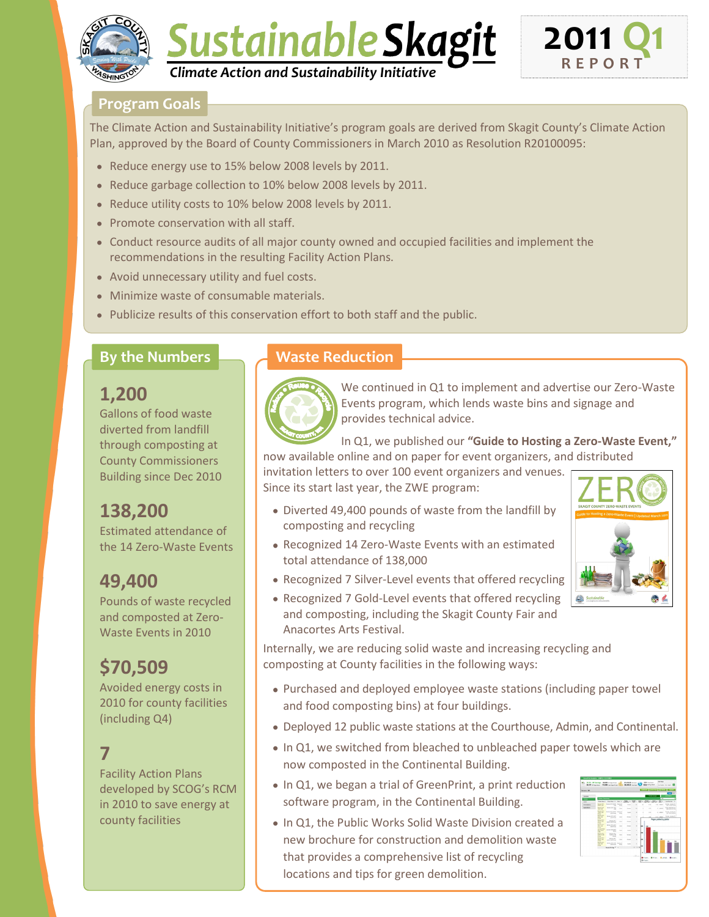

# Sustainable Skagit *Climate Action and Sustainability Initiative*



#### **Program Goals**

The Climate Action and Sustainability Initiative's program goals are derived from Skagit County's Climate Action Plan, approved by the Board of County Commissioners in March 2010 as Resolution R20100095:

- Reduce energy use to 15% below 2008 levels by 2011.
- Reduce garbage collection to 10% below 2008 levels by 2011.
- Reduce utility costs to 10% below 2008 levels by 2011.
- Promote conservation with all staff.
- Conduct resource audits of all major county owned and occupied facilities and implement the recommendations in the resulting Facility Action Plans.
- Avoid unnecessary utility and fuel costs.
- Minimize waste of consumable materials.
- Publicize results of this conservation effort to both staff and the public.

#### **By the Numbers**

### **1,200**

Gallons of food waste diverted from landfill through composting at County Commissioners Building since Dec 2010

### **138,200**

Estimated attendance of the 14 Zero-Waste Events

### **49,400**

Pounds of waste recycled and composted at Zero-Waste Events in 2010

## **\$70,509**

Avoided energy costs in 2010 for county facilities (including Q4)

### **7**

Facility Action Plans developed by SCOG's RCM in 2010 to save energy at county facilities

### **Waste Reduction**



We continued in Q1 to implement and advertise our Zero-Waste Events program, which lends waste bins and signage and provides technical advice.

In Q1, we published our **"Guide to Hosting a Zero-Waste Event,"**  now available online and on paper for event organizers, and distributed

invitation letters to over 100 event organizers and venues. Since its start last year, the ZWE program:

- Diverted 49,400 pounds of waste from the landfill by composting and recycling
- Recognized 14 Zero-Waste Events with an estimated total attendance of 138,000
- Recognized 7 Silver-Level events that offered recycling
- Recognized 7 Gold-Level events that offered recycling and composting, including the Skagit County Fair and Anacortes Arts Festival.

Internally, we are reducing solid waste and increasing recycling and composting at County facilities in the following ways:

- Purchased and deployed employee waste stations (including paper towel and food composting bins) at four buildings.
- Deployed 12 public waste stations at the Courthouse, Admin, and Continental.
- In Q1, we switched from bleached to unbleached paper towels which are now composted in the Continental Building.
- In Q1, we began a trial of GreenPrint, a print reduction software program, in the Continental Building.
- In Q1, the Public Works Solid Waste Division created a new brochure for construction and demolition waste that provides a comprehensive list of recycling locations and tips for green demolition.